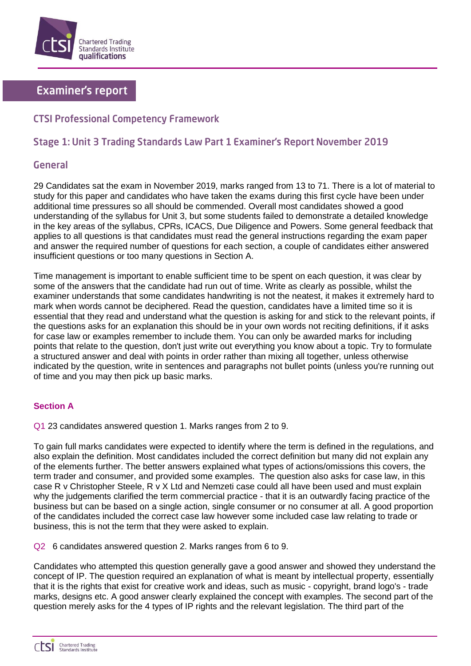

# **Examiner's report**

# **CTSI Professional Competency Framework**

# Stage 1: Unit 3 Trading Standards Law Part 1 Examiner's Report November 2019

# General

29 Candidates sat the exam in November 2019, marks ranged from 13 to 71. There is a lot of material to study for this paper and candidates who have taken the exams during this first cycle have been under additional time pressures so all should be commended. Overall most candidates showed a good understanding of the syllabus for Unit 3, but some students failed to demonstrate a detailed knowledge in the key areas of the syllabus, CPRs, ICACS, Due Diligence and Powers. Some general feedback that applies to all questions is that candidates must read the general instructions regarding the exam paper and answer the required number of questions for each section, a couple of candidates either answered insufficient questions or too many questions in Section A.

Time management is important to enable sufficient time to be spent on each question, it was clear by some of the answers that the candidate had run out of time. Write as clearly as possible, whilst the examiner understands that some candidates handwriting is not the neatest, it makes it extremely hard to mark when words cannot be deciphered. Read the question, candidates have a limited time so it is essential that they read and understand what the question is asking for and stick to the relevant points, if the questions asks for an explanation this should be in your own words not reciting definitions, if it asks for case law or examples remember to include them. You can only be awarded marks for including points that relate to the question, don't just write out everything you know about a topic. Try to formulate a structured answer and deal with points in order rather than mixing all together, unless otherwise indicated by the question, write in sentences and paragraphs not bullet points (unless you're running out of time and you may then pick up basic marks.

## **Section A**

Q1 23 candidates answered question 1. Marks ranges from 2 to 9.

To gain full marks candidates were expected to identify where the term is defined in the regulations, and also explain the definition. Most candidates included the correct definition but many did not explain any of the elements further. The better answers explained what types of actions/omissions this covers, the term trader and consumer, and provided some examples. The question also asks for case law, in this case R v Christopher Steele, R v X Ltd and Nemzeti case could all have been used and must explain why the judgements clarified the term commercial practice - that it is an outwardly facing practice of the business but can be based on a single action, single consumer or no consumer at all. A good proportion of the candidates included the correct case law however some included case law relating to trade or business, this is not the term that they were asked to explain.

Q2 6 candidates answered question 2. Marks ranges from 6 to 9.

Candidates who attempted this question generally gave a good answer and showed they understand the concept of IP. The question required an explanation of what is meant by intellectual property, essentially that it is the rights that exist for creative work and ideas, such as music - copyright, brand logo's - trade marks, designs etc. A good answer clearly explained the concept with examples. The second part of the question merely asks for the 4 types of IP rights and the relevant legislation. The third part of the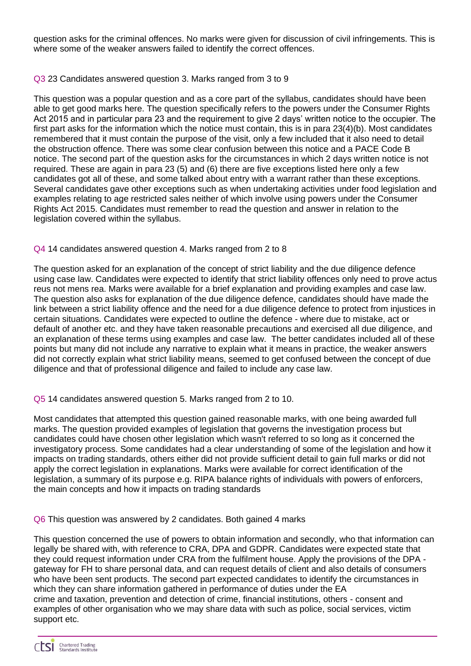question asks for the criminal offences. No marks were given for discussion of civil infringements. This is where some of the weaker answers failed to identify the correct offences.

### Q3 23 Candidates answered question 3. Marks ranged from 3 to 9

This question was a popular question and as a core part of the syllabus, candidates should have been able to get good marks here. The question specifically refers to the powers under the Consumer Rights Act 2015 and in particular para 23 and the requirement to give 2 days' written notice to the occupier. The first part asks for the information which the notice must contain, this is in para 23(4)(b). Most candidates remembered that it must contain the purpose of the visit, only a few included that it also need to detail the obstruction offence. There was some clear confusion between this notice and a PACE Code B notice. The second part of the question asks for the circumstances in which 2 days written notice is not required. These are again in para 23 (5) and (6) there are five exceptions listed here only a few candidates got all of these, and some talked about entry with a warrant rather than these exceptions. Several candidates gave other exceptions such as when undertaking activities under food legislation and examples relating to age restricted sales neither of which involve using powers under the Consumer Rights Act 2015. Candidates must remember to read the question and answer in relation to the legislation covered within the syllabus.

### Q4 14 candidates answered question 4. Marks ranged from 2 to 8

The question asked for an explanation of the concept of strict liability and the due diligence defence using case law. Candidates were expected to identify that strict liability offences only need to prove actus reus not mens rea. Marks were available for a brief explanation and providing examples and case law. The question also asks for explanation of the due diligence defence, candidates should have made the link between a strict liability offence and the need for a due diligence defence to protect from injustices in certain situations. Candidates were expected to outline the defence - where due to mistake, act or default of another etc. and they have taken reasonable precautions and exercised all due diligence, and an explanation of these terms using examples and case law. The better candidates included all of these points but many did not include any narrative to explain what it means in practice, the weaker answers did not correctly explain what strict liability means, seemed to get confused between the concept of due diligence and that of professional diligence and failed to include any case law.

#### Q5 14 candidates answered question 5. Marks ranged from 2 to 10.

Most candidates that attempted this question gained reasonable marks, with one being awarded full marks. The question provided examples of legislation that governs the investigation process but candidates could have chosen other legislation which wasn't referred to so long as it concerned the investigatory process. Some candidates had a clear understanding of some of the legislation and how it impacts on trading standards, others either did not provide sufficient detail to gain full marks or did not apply the correct legislation in explanations. Marks were available for correct identification of the legislation, a summary of its purpose e.g. RIPA balance rights of individuals with powers of enforcers, the main concepts and how it impacts on trading standards

#### Q6 This question was answered by 2 candidates. Both gained 4 marks

This question concerned the use of powers to obtain information and secondly, who that information can legally be shared with, with reference to CRA, DPA and GDPR. Candidates were expected state that they could request information under CRA from the fulfilment house. Apply the provisions of the DPA gateway for FH to share personal data, and can request details of client and also details of consumers who have been sent products. The second part expected candidates to identify the circumstances in which they can share information gathered in performance of duties under the EA crime and taxation, prevention and detection of crime, financial institutions, others - consent and examples of other organisation who we may share data with such as police, social services, victim support etc.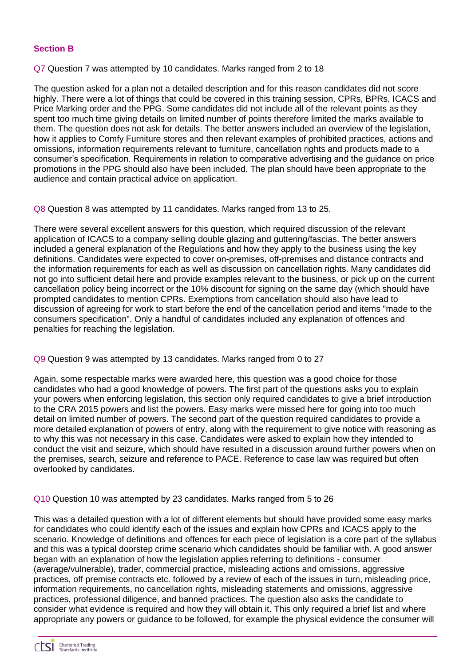## **Section B**

## Q7 Question 7 was attempted by 10 candidates. Marks ranged from 2 to 18

The question asked for a plan not a detailed description and for this reason candidates did not score highly. There were a lot of things that could be covered in this training session, CPRs, BPRs, ICACS and Price Marking order and the PPG. Some candidates did not include all of the relevant points as they spent too much time giving details on limited number of points therefore limited the marks available to them. The question does not ask for details. The better answers included an overview of the legislation, how it applies to Comfy Furniture stores and then relevant examples of prohibited practices, actions and omissions, information requirements relevant to furniture, cancellation rights and products made to a consumer's specification. Requirements in relation to comparative advertising and the guidance on price promotions in the PPG should also have been included. The plan should have been appropriate to the audience and contain practical advice on application.

Q8 Question 8 was attempted by 11 candidates. Marks ranged from 13 to 25.

There were several excellent answers for this question, which required discussion of the relevant application of ICACS to a company selling double glazing and guttering/fascias. The better answers included a general explanation of the Regulations and how they apply to the business using the key definitions. Candidates were expected to cover on-premises, off-premises and distance contracts and the information requirements for each as well as discussion on cancellation rights. Many candidates did not go into sufficient detail here and provide examples relevant to the business, or pick up on the current cancellation policy being incorrect or the 10% discount for signing on the same day (which should have prompted candidates to mention CPRs. Exemptions from cancellation should also have lead to discussion of agreeing for work to start before the end of the cancellation period and items "made to the consumers specification". Only a handful of candidates included any explanation of offences and penalties for reaching the legislation.

## Q9 Question 9 was attempted by 13 candidates. Marks ranged from 0 to 27

Again, some respectable marks were awarded here, this question was a good choice for those candidates who had a good knowledge of powers. The first part of the questions asks you to explain your powers when enforcing legislation, this section only required candidates to give a brief introduction to the CRA 2015 powers and list the powers. Easy marks were missed here for going into too much detail on limited number of powers. The second part of the question required candidates to provide a more detailed explanation of powers of entry, along with the requirement to give notice with reasoning as to why this was not necessary in this case. Candidates were asked to explain how they intended to conduct the visit and seizure, which should have resulted in a discussion around further powers when on the premises, search, seizure and reference to PACE. Reference to case law was required but often overlooked by candidates.

#### Q10 Question 10 was attempted by 23 candidates. Marks ranged from 5 to 26

This was a detailed question with a lot of different elements but should have provided some easy marks for candidates who could identify each of the issues and explain how CPRs and ICACS apply to the scenario. Knowledge of definitions and offences for each piece of legislation is a core part of the syllabus and this was a typical doorstep crime scenario which candidates should be familiar with. A good answer began with an explanation of how the legislation applies referring to definitions - consumer (average/vulnerable), trader, commercial practice, misleading actions and omissions, aggressive practices, off premise contracts etc. followed by a review of each of the issues in turn, misleading price, information requirements, no cancellation rights, misleading statements and omissions, aggressive practices, professional diligence, and banned practices. The question also asks the candidate to consider what evidence is required and how they will obtain it. This only required a brief list and where appropriate any powers or guidance to be followed, for example the physical evidence the consumer will